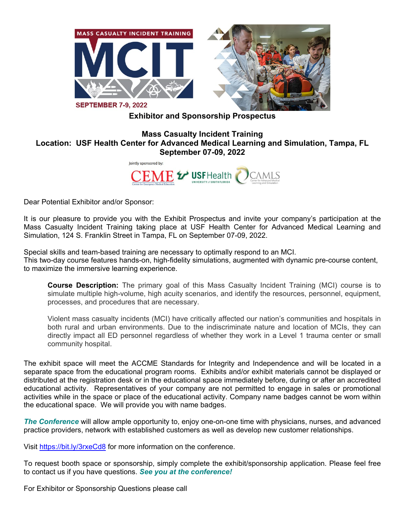

**Exhibitor and Sponsorship Prospectus**

# **Mass Casualty Incident Training Location: USF Health Center for Advanced Medical Learning and Simulation, Tampa, FL September 07-09, 2022**

lointly sponsored by:



Dear Potential Exhibitor and/or Sponsor:

It is our pleasure to provide you with the Exhibit Prospectus and invite your company's participation at the Mass Casualty Incident Training taking place at USF Health Center for Advanced Medical Learning and Simulation, 124 S. Franklin Street in Tampa, FL on September 07-09, 2022.

Special skills and team-based training are necessary to optimally respond to an MCI. This two-day course features hands-on, high-fidelity simulations, augmented with dynamic pre-course content, to maximize the immersive learning experience.

**Course Description:** The primary goal of this Mass Casualty Incident Training (MCI) course is to simulate multiple high-volume, high acuity scenarios, and identify the resources, personnel, equipment, processes, and procedures that are necessary.

Violent mass casualty incidents (MCI) have critically affected our nation's communities and hospitals in both rural and urban environments. Due to the indiscriminate nature and location of MCIs, they can directly impact all ED personnel regardless of whether they work in a Level 1 trauma center or small community hospital.

The exhibit space will meet the ACCME Standards for Integrity and Independence and will be located in a separate space from the educational program rooms. Exhibits and/or exhibit materials cannot be displayed or distributed at the registration desk or in the educational space immediately before, during or after an accredited educational activity. Representatives of your company are not permitted to engage in sales or promotional activities while in the space or place of the educational activity. Company name badges cannot be worn within the educational space. We will provide you with name badges.

*The Conference* will allow ample opportunity to, enjoy one-on-one time with physicians, nurses, and advanced practice providers, network with established customers as well as develop new customer relationships.

Visit<https://bit.ly/3rxeCd8> for more information on the conference.

To request booth space or sponsorship, simply complete the exhibit/sponsorship application. Please feel free to contact us if you have questions. *See you at the conference!*

For Exhibitor or Sponsorship Questions please call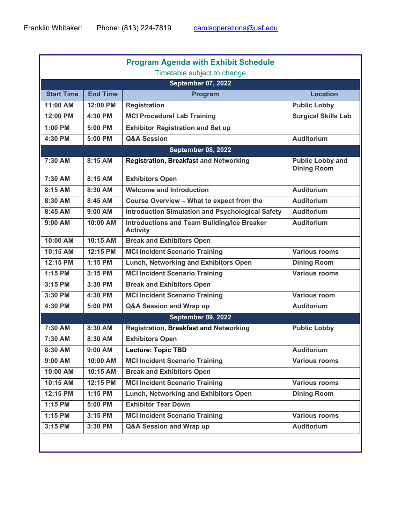| <b>Program Agenda with Exhibit Schedule</b><br>Timetable subject to change |                 |                                                                       |                                               |  |  |  |
|----------------------------------------------------------------------------|-----------------|-----------------------------------------------------------------------|-----------------------------------------------|--|--|--|
| <b>September 07, 2022</b>                                                  |                 |                                                                       |                                               |  |  |  |
| <b>Start Time</b>                                                          | <b>End Time</b> | Program                                                               | <b>Location</b>                               |  |  |  |
| 11:00 AM                                                                   | 12:00 PM        | <b>Registration</b>                                                   | <b>Public Lobby</b>                           |  |  |  |
| 12:00 PM                                                                   | 4:30 PM         | <b>MCI Procedural Lab Training</b>                                    | <b>Surgical Skills Lab</b>                    |  |  |  |
| 1:00 PM                                                                    | 5:00 PM         | <b>Exhibitor Registration and Set up</b>                              |                                               |  |  |  |
| 4:30 PM                                                                    | 5:00 PM         | <b>Q&amp;A Session</b>                                                | <b>Auditorium</b>                             |  |  |  |
| <b>September 08, 2022</b>                                                  |                 |                                                                       |                                               |  |  |  |
| 7:30 AM                                                                    | 8:15 AM         | <b>Registration, Breakfast and Networking</b>                         | <b>Public Lobby and</b><br><b>Dining Room</b> |  |  |  |
| 7:30 AM                                                                    | 8:15 AM         | <b>Exhibitors Open</b>                                                |                                               |  |  |  |
| 8:15 AM                                                                    | 8:30 AM         | <b>Welcome and Introduction</b>                                       | <b>Auditorium</b>                             |  |  |  |
| 8:30 AM                                                                    | 8:45 AM         | Course Overview - What to expect from the                             | <b>Auditorium</b>                             |  |  |  |
| 8:45 AM                                                                    | 9:00 AM         | <b>Introduction Simulation and Psychological Safety</b>               | <b>Auditorium</b>                             |  |  |  |
| 9:00 AM                                                                    | 10:00 AM        | <b>Introductions and Team Building/Ice Breaker</b><br><b>Activity</b> | <b>Auditorium</b>                             |  |  |  |
| 10:00 AM                                                                   | 10:15 AM        | <b>Break and Exhibitors Open</b>                                      |                                               |  |  |  |
| 10:15 AM                                                                   | 12:15 PM        | <b>MCI Incident Scenario Training</b>                                 | <b>Various rooms</b>                          |  |  |  |
| 12:15 PM                                                                   | 1:15 PM         | Lunch, Networking and Exhibitors Open                                 | <b>Dining Room</b>                            |  |  |  |
| $1:15$ PM                                                                  | 3:15 PM         | <b>MCI Incident Scenario Training</b>                                 | <b>Various rooms</b>                          |  |  |  |
| 3:15 PM                                                                    | 3:30 PM         | <b>Break and Exhibitors Open</b>                                      |                                               |  |  |  |
| 3:30 PM                                                                    | 4:30 PM         | <b>MCI Incident Scenario Training</b>                                 | <b>Various room</b>                           |  |  |  |
| 4:30 PM                                                                    | 5:00 PM         | Q&A Session and Wrap up                                               | <b>Auditorium</b>                             |  |  |  |
|                                                                            |                 | <b>September 09, 2022</b>                                             |                                               |  |  |  |
| 7:30 AM                                                                    | 8:30 AM         | <b>Registration, Breakfast and Networking</b>                         | <b>Public Lobby</b>                           |  |  |  |
| 7:30 AM                                                                    | 8:30 AM         | <b>Exhibitors Open</b>                                                |                                               |  |  |  |
| 8:30 AM                                                                    | 9:00 AM         | Lecture: Topic TBD                                                    | <b>Auditorium</b>                             |  |  |  |
| 9:00 AM                                                                    | 10:00 AM        | <b>MCI Incident Scenario Training</b>                                 | <b>Various rooms</b>                          |  |  |  |
| 10:00 AM                                                                   | 10:15 AM        | <b>Break and Exhibitors Open</b>                                      |                                               |  |  |  |
| 10:15 AM                                                                   | 12:15 PM        | <b>MCI Incident Scenario Training</b>                                 | <b>Various rooms</b>                          |  |  |  |
| 12:15 PM                                                                   | 1:15 PM         | Lunch, Networking and Exhibitors Open                                 | <b>Dining Room</b>                            |  |  |  |
| 1:15 PM                                                                    | 5:00 PM         | <b>Exhibitor Tear Down</b>                                            |                                               |  |  |  |
| 1:15 PM                                                                    | 3:15 PM         | <b>MCI Incident Scenario Training</b>                                 | <b>Various rooms</b>                          |  |  |  |
| 3:15 PM                                                                    | 3:30 PM         | Q&A Session and Wrap up                                               | <b>Auditorium</b>                             |  |  |  |
|                                                                            |                 |                                                                       |                                               |  |  |  |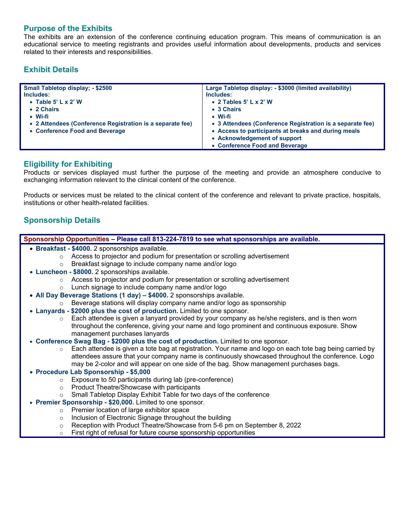## **Purpose of the Exhibits**

The exhibits are an extension of the conference continuing education program. This means of communication is an educational service to meeting registrants and provides useful information about developments, products and services related to their interests and responsibilities.

# **Exhibit Details**

| <b>Small Tabletop display; - \$2500</b>                   | Large Tabletop display: - \$3000 (limited availability)   |
|-----------------------------------------------------------|-----------------------------------------------------------|
| Includes:                                                 | Includes:                                                 |
| • Table 5' $L \times 2'$ W                                | • 2 Tables $5'$ L x 2' W                                  |
| • 2 Chairs                                                | • 3 Chairs                                                |
| • Wi-fi                                                   | • Wi-fi                                                   |
| • 2 Attendees (Conference Registration is a separate fee) | • 3 Attendees (Conference Registration is a separate fee) |
| • Conference Food and Beverage                            | • Access to participants at breaks and during meals       |
|                                                           | • Acknowledgement of support                              |
|                                                           | • Conference Food and Beverage                            |

## **Eligibility for Exhibiting**

Products or services displayed must further the purpose of the meeting and provide an atmosphere conducive to exchanging information relevant to the clinical content of the conference.

Products or services must be related to the clinical content of the conference and relevant to private practice, hospitals, institutions or other health-related facilities.

# **Sponsorship Details**

| Sponsorship Opportunities – Please call 813-224-7819 to see what sponsorships are available.                       |  |  |  |  |  |
|--------------------------------------------------------------------------------------------------------------------|--|--|--|--|--|
| • Breakfast - \$4000. 2 sponsorships available.                                                                    |  |  |  |  |  |
| Access to projector and podium for presentation or scrolling advertisement<br>$\circ$                              |  |  |  |  |  |
| Breakfast signage to include company name and/or logo<br>$\circ$                                                   |  |  |  |  |  |
| • Luncheon - \$8000. 2 sponsorships available.                                                                     |  |  |  |  |  |
| Access to projector and podium for presentation or scrolling advertisement<br>$\circ$                              |  |  |  |  |  |
| Lunch signage to include company name and/or logo<br>$\circ$                                                       |  |  |  |  |  |
| • All Day Beverage Stations (1 day) - \$4000. 2 sponsorships available.                                            |  |  |  |  |  |
| Beverage stations will display company name and/or logo as sponsorship<br>$\circ$                                  |  |  |  |  |  |
| • Lanyards - \$2000 plus the cost of production. Limited to one sponsor.                                           |  |  |  |  |  |
| Each attendee is given a lanyard provided by your company as he/she registers, and is then worn<br>$\circ$         |  |  |  |  |  |
| throughout the conference, giving your name and logo prominent and continuous exposure. Show                       |  |  |  |  |  |
| management purchases lanyards                                                                                      |  |  |  |  |  |
| • Conference Swag Bag - \$2000 plus the cost of production. Limited to one sponsor.                                |  |  |  |  |  |
| Each attendee is given a tote bag at registration. Your name and logo on each tote bag being carried by<br>$\circ$ |  |  |  |  |  |
| attendees assure that your company name is continuously showcased throughout the conference. Logo                  |  |  |  |  |  |
| may be 2-color and will appear on one side of the bag. Show management purchases bags.                             |  |  |  |  |  |
| • Procedure Lab Sponsorship - \$5,000                                                                              |  |  |  |  |  |
| Exposure to 50 participants during lab (pre-conference)<br>$\circ$                                                 |  |  |  |  |  |
| Product Theatre/Showcase with participants<br>$\circ$                                                              |  |  |  |  |  |
| Small Tabletop Display Exhibit Table for two days of the conference<br>$\circ$                                     |  |  |  |  |  |
| • Premier Sponsorship - \$20,000. Limited to one sponsor.                                                          |  |  |  |  |  |
| Premier location of large exhibitor space<br>$\circ$                                                               |  |  |  |  |  |
| Inclusion of Electronic Signage throughout the building<br>$\circ$                                                 |  |  |  |  |  |
| Reception with Product Theatre/Showcase from 5-6 pm on September 8, 2022<br>$\circ$                                |  |  |  |  |  |
| First right of refusal for future course sponsorship opportunities<br>$\circ$                                      |  |  |  |  |  |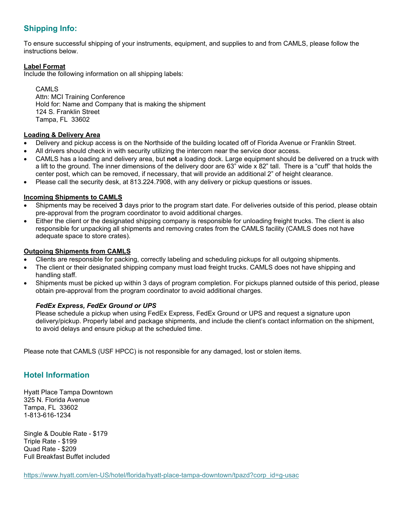# **Shipping Info:**

To ensure successful shipping of your instruments, equipment, and supplies to and from CAMLS, please follow the instructions below.

#### **Label Format**

Include the following information on all shipping labels:

CAMLS Attn: MCI Training Conference Hold for: Name and Company that is making the shipment 124 S. Franklin Street Tampa, FL 33602

#### **Loading & Delivery Area**

- Delivery and pickup access is on the Northside of the building located off of Florida Avenue or Franklin Street.
- All drivers should check in with security utilizing the intercom near the service door access.
- CAMLS has a loading and delivery area, but **not** a loading dock. Large equipment should be delivered on a truck with a lift to the ground. The inner dimensions of the delivery door are 63" wide x 82" tall. There is a "cuff" that holds the center post, which can be removed, if necessary, that will provide an additional 2" of height clearance.
- Please call the security desk, at 813.224.7908, with any delivery or pickup questions or issues.

#### **Incoming Shipments to CAMLS**

- Shipments may be received **3** days prior to the program start date. For deliveries outside of this period, please obtain pre-approval from the program coordinator to avoid additional charges.
- Either the client or the designated shipping company is responsible for unloading freight trucks. The client is also responsible for unpacking all shipments and removing crates from the CAMLS facility (CAMLS does not have adequate space to store crates).

#### **Outgoing Shipments from CAMLS**

- Clients are responsible for packing, correctly labeling and scheduling pickups for all outgoing shipments.
- The client or their designated shipping company must load freight trucks. CAMLS does not have shipping and handling staff.
- Shipments must be picked up within 3 days of program completion. For pickups planned outside of this period, please obtain pre-approval from the program coordinator to avoid additional charges.

#### *FedEx Express, FedEx Ground or UPS*

Please schedule a pickup when using FedEx Express, FedEx Ground or UPS and request a signature upon delivery/pickup. Properly label and package shipments, and include the client's contact information on the shipment, to avoid delays and ensure pickup at the scheduled time.

Please note that CAMLS (USF HPCC) is not responsible for any damaged, lost or stolen items.

# **Hotel Information**

Hyatt Place Tampa Downtown 325 N. Florida Avenue Tampa, FL 33602 1-813-616-1234

Single & Double Rate - \$179 Triple Rate - \$199 Quad Rate - \$209 Full Breakfast Buffet included

[https://www.hyatt.com/en-US/hotel/florida/hyatt-place-tampa-downtown/tpazd?corp\\_id=g-usac](https://www.hyatt.com/en-US/hotel/florida/hyatt-place-tampa-downtown/tpazd?corp_id=g-usac)